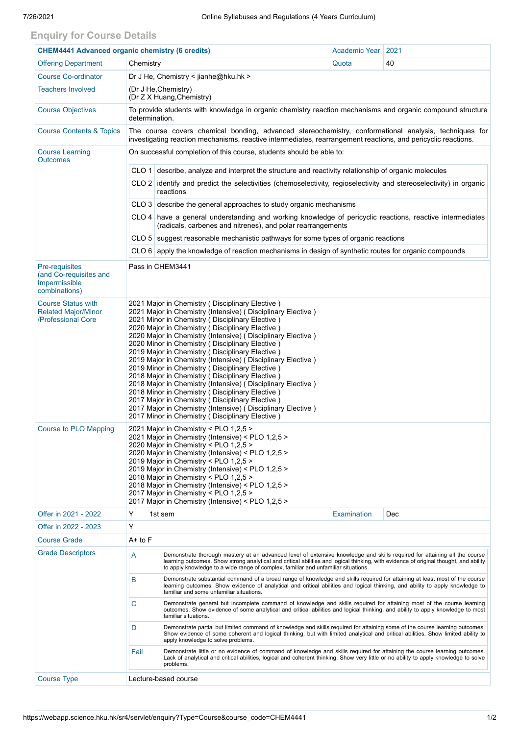## **Enquiry for Course Details**

| <b>CHEM4441 Advanced organic chemistry (6 credits)</b>                        |                                                                                                                                                                                                                                                                                                                                                                                                                                                                                                                                                                                                                                                                                                                                                                                                                                                         |                                                                                                                                                                                                                                                                                                                                                          | Academic Year   2021 |     |  |  |  |
|-------------------------------------------------------------------------------|---------------------------------------------------------------------------------------------------------------------------------------------------------------------------------------------------------------------------------------------------------------------------------------------------------------------------------------------------------------------------------------------------------------------------------------------------------------------------------------------------------------------------------------------------------------------------------------------------------------------------------------------------------------------------------------------------------------------------------------------------------------------------------------------------------------------------------------------------------|----------------------------------------------------------------------------------------------------------------------------------------------------------------------------------------------------------------------------------------------------------------------------------------------------------------------------------------------------------|----------------------|-----|--|--|--|
| <b>Offering Department</b>                                                    | Chemistry                                                                                                                                                                                                                                                                                                                                                                                                                                                                                                                                                                                                                                                                                                                                                                                                                                               |                                                                                                                                                                                                                                                                                                                                                          | Quota                | 40  |  |  |  |
| <b>Course Co-ordinator</b>                                                    | Dr J He, Chemistry < jianhe@hku.hk >                                                                                                                                                                                                                                                                                                                                                                                                                                                                                                                                                                                                                                                                                                                                                                                                                    |                                                                                                                                                                                                                                                                                                                                                          |                      |     |  |  |  |
| <b>Teachers Involved</b>                                                      | (Dr J He, Chemistry)<br>(Dr Z X Huang, Chemistry)                                                                                                                                                                                                                                                                                                                                                                                                                                                                                                                                                                                                                                                                                                                                                                                                       |                                                                                                                                                                                                                                                                                                                                                          |                      |     |  |  |  |
| <b>Course Objectives</b>                                                      | To provide students with knowledge in organic chemistry reaction mechanisms and organic compound structure<br>determination.                                                                                                                                                                                                                                                                                                                                                                                                                                                                                                                                                                                                                                                                                                                            |                                                                                                                                                                                                                                                                                                                                                          |                      |     |  |  |  |
| <b>Course Contents &amp; Topics</b>                                           | The course covers chemical bonding, advanced stereochemistry, conformational analysis, techniques for<br>investigating reaction mechanisms, reactive intermediates, rearrangement reactions, and pericyclic reactions.                                                                                                                                                                                                                                                                                                                                                                                                                                                                                                                                                                                                                                  |                                                                                                                                                                                                                                                                                                                                                          |                      |     |  |  |  |
| <b>Course Learning</b><br><b>Outcomes</b>                                     | On successful completion of this course, students should be able to:                                                                                                                                                                                                                                                                                                                                                                                                                                                                                                                                                                                                                                                                                                                                                                                    |                                                                                                                                                                                                                                                                                                                                                          |                      |     |  |  |  |
|                                                                               | $CLO 1$ describe, analyze and interpret the structure and reactivity relationship of organic molecules<br>CLO 2 identify and predict the selectivities (chemoselectivity, regioselectivity and stereoselectivity) in organic<br>reactions<br>$CLO$ 3 describe the general approaches to study organic mechanisms                                                                                                                                                                                                                                                                                                                                                                                                                                                                                                                                        |                                                                                                                                                                                                                                                                                                                                                          |                      |     |  |  |  |
|                                                                               |                                                                                                                                                                                                                                                                                                                                                                                                                                                                                                                                                                                                                                                                                                                                                                                                                                                         |                                                                                                                                                                                                                                                                                                                                                          |                      |     |  |  |  |
|                                                                               |                                                                                                                                                                                                                                                                                                                                                                                                                                                                                                                                                                                                                                                                                                                                                                                                                                                         |                                                                                                                                                                                                                                                                                                                                                          |                      |     |  |  |  |
|                                                                               |                                                                                                                                                                                                                                                                                                                                                                                                                                                                                                                                                                                                                                                                                                                                                                                                                                                         | CLO 4 have a general understanding and working knowledge of pericyclic reactions, reactive intermediates<br>(radicals, carbenes and nitrenes), and polar rearrangements                                                                                                                                                                                  |                      |     |  |  |  |
|                                                                               |                                                                                                                                                                                                                                                                                                                                                                                                                                                                                                                                                                                                                                                                                                                                                                                                                                                         | CLO 5 suggest reasonable mechanistic pathways for some types of organic reactions                                                                                                                                                                                                                                                                        |                      |     |  |  |  |
|                                                                               | CLO 6 apply the knowledge of reaction mechanisms in design of synthetic routes for organic compounds                                                                                                                                                                                                                                                                                                                                                                                                                                                                                                                                                                                                                                                                                                                                                    |                                                                                                                                                                                                                                                                                                                                                          |                      |     |  |  |  |
| Pre-requisites<br>(and Co-requisites and<br>Impermissible<br>combinations)    | Pass in CHEM3441                                                                                                                                                                                                                                                                                                                                                                                                                                                                                                                                                                                                                                                                                                                                                                                                                                        |                                                                                                                                                                                                                                                                                                                                                          |                      |     |  |  |  |
| <b>Course Status with</b><br><b>Related Major/Minor</b><br>/Professional Core | 2021 Major in Chemistry (Disciplinary Elective)<br>2021 Major in Chemistry (Intensive) (Disciplinary Elective)<br>2021 Minor in Chemistry (Disciplinary Elective)<br>2020 Major in Chemistry (Disciplinary Elective)<br>2020 Major in Chemistry (Intensive) (Disciplinary Elective)<br>2020 Minor in Chemistry (Disciplinary Elective)<br>2019 Major in Chemistry (Disciplinary Elective)<br>2019 Major in Chemistry (Intensive) (Disciplinary Elective)<br>2019 Minor in Chemistry (Disciplinary Elective)<br>2018 Major in Chemistry ( Disciplinary Elective )<br>2018 Major in Chemistry (Intensive) (Disciplinary Elective)<br>2018 Minor in Chemistry (Disciplinary Elective)<br>2017 Major in Chemistry (Disciplinary Elective)<br>2017 Major in Chemistry (Intensive) (Disciplinary Elective)<br>2017 Minor in Chemistry (Disciplinary Elective) |                                                                                                                                                                                                                                                                                                                                                          |                      |     |  |  |  |
| <b>Course to PLO Mapping</b>                                                  | 2021 Major in Chemistry < PLO 1,2,5 ><br>2021 Major in Chemistry (Intensive) < PLO 1,2,5 ><br>2020 Major in Chemistry < PLO 1,2,5 ><br>2020 Major in Chemistry (Intensive) < PLO 1,2,5 ><br>2019 Major in Chemistry < PLO 1,2,5 ><br>2019 Major in Chemistry (Intensive) < PLO 1,2,5 ><br>2018 Major in Chemistry < PLO 1,2,5 ><br>2018 Major in Chemistry (Intensive) < PLO 1,2,5 ><br>2017 Major in Chemistry < PLO 1,2,5 ><br>2017 Major in Chemistry (Intensive) < PLO 1,2,5 >                                                                                                                                                                                                                                                                                                                                                                      |                                                                                                                                                                                                                                                                                                                                                          |                      |     |  |  |  |
| Offer in 2021 - 2022                                                          | Y                                                                                                                                                                                                                                                                                                                                                                                                                                                                                                                                                                                                                                                                                                                                                                                                                                                       | 1st sem                                                                                                                                                                                                                                                                                                                                                  | Examination          | Dec |  |  |  |
| Offer in 2022 - 2023                                                          | Y                                                                                                                                                                                                                                                                                                                                                                                                                                                                                                                                                                                                                                                                                                                                                                                                                                                       |                                                                                                                                                                                                                                                                                                                                                          |                      |     |  |  |  |
| <b>Course Grade</b>                                                           | A+ to F                                                                                                                                                                                                                                                                                                                                                                                                                                                                                                                                                                                                                                                                                                                                                                                                                                                 |                                                                                                                                                                                                                                                                                                                                                          |                      |     |  |  |  |
| <b>Grade Descriptors</b>                                                      | А                                                                                                                                                                                                                                                                                                                                                                                                                                                                                                                                                                                                                                                                                                                                                                                                                                                       | Demonstrate thorough mastery at an advanced level of extensive knowledge and skills required for attaining all the course<br>learning outcomes. Show strong analytical and critical abilities and logical thinking, with evidence of original thought, and ability<br>to apply knowledge to a wide range of complex, familiar and unfamiliar situations. |                      |     |  |  |  |
|                                                                               | B                                                                                                                                                                                                                                                                                                                                                                                                                                                                                                                                                                                                                                                                                                                                                                                                                                                       | Demonstrate substantial command of a broad range of knowledge and skills required for attaining at least most of the course<br>learning outcomes. Show evidence of analytical and critical abilities and logical thinking, and ability to apply knowledge to<br>familiar and some unfamiliar situations.                                                 |                      |     |  |  |  |
|                                                                               | C                                                                                                                                                                                                                                                                                                                                                                                                                                                                                                                                                                                                                                                                                                                                                                                                                                                       | Demonstrate general but incomplete command of knowledge and skills required for attaining most of the course learning<br>outcomes. Show evidence of some analytical and critical abilities and logical thinking, and ability to apply knowledge to most<br>familiar situations.                                                                          |                      |     |  |  |  |
|                                                                               | D                                                                                                                                                                                                                                                                                                                                                                                                                                                                                                                                                                                                                                                                                                                                                                                                                                                       | Demonstrate partial but limited command of knowledge and skills required for attaining some of the course learning outcomes.<br>Show evidence of some coherent and logical thinking, but with limited analytical and critical abilities. Show limited ability to<br>apply knowledge to solve problems.                                                   |                      |     |  |  |  |
|                                                                               | Fail                                                                                                                                                                                                                                                                                                                                                                                                                                                                                                                                                                                                                                                                                                                                                                                                                                                    | Demonstrate little or no evidence of command of knowledge and skills required for attaining the course learning outcomes.<br>Lack of analytical and critical abilities, logical and coherent thinking. Show very little or no ability to apply knowledge to solve<br>problems.                                                                           |                      |     |  |  |  |
| <b>Course Type</b>                                                            | Lecture-based course                                                                                                                                                                                                                                                                                                                                                                                                                                                                                                                                                                                                                                                                                                                                                                                                                                    |                                                                                                                                                                                                                                                                                                                                                          |                      |     |  |  |  |